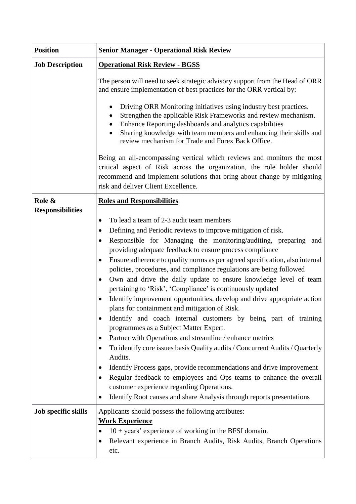| <b>Position</b>         | <b>Senior Manager - Operational Risk Review</b>                                                                                                                                                                                                                                                                                                                                                                                                                                                                                                                                                                                                                                                                                                                                                                                                                                                                                                                                                                                                                                                                                                                                                                                                                                            |
|-------------------------|--------------------------------------------------------------------------------------------------------------------------------------------------------------------------------------------------------------------------------------------------------------------------------------------------------------------------------------------------------------------------------------------------------------------------------------------------------------------------------------------------------------------------------------------------------------------------------------------------------------------------------------------------------------------------------------------------------------------------------------------------------------------------------------------------------------------------------------------------------------------------------------------------------------------------------------------------------------------------------------------------------------------------------------------------------------------------------------------------------------------------------------------------------------------------------------------------------------------------------------------------------------------------------------------|
| <b>Job Description</b>  | <b>Operational Risk Review - BGSS</b>                                                                                                                                                                                                                                                                                                                                                                                                                                                                                                                                                                                                                                                                                                                                                                                                                                                                                                                                                                                                                                                                                                                                                                                                                                                      |
|                         | The person will need to seek strategic advisory support from the Head of ORR<br>and ensure implementation of best practices for the ORR vertical by:                                                                                                                                                                                                                                                                                                                                                                                                                                                                                                                                                                                                                                                                                                                                                                                                                                                                                                                                                                                                                                                                                                                                       |
|                         | Driving ORR Monitoring initiatives using industry best practices.<br>Strengthen the applicable Risk Frameworks and review mechanism.<br>Enhance Reporting dashboards and analytics capabilities<br>Sharing knowledge with team members and enhancing their skills and<br>review mechanism for Trade and Forex Back Office.                                                                                                                                                                                                                                                                                                                                                                                                                                                                                                                                                                                                                                                                                                                                                                                                                                                                                                                                                                 |
|                         | Being an all-encompassing vertical which reviews and monitors the most<br>critical aspect of Risk across the organization, the role holder should<br>recommend and implement solutions that bring about change by mitigating<br>risk and deliver Client Excellence.                                                                                                                                                                                                                                                                                                                                                                                                                                                                                                                                                                                                                                                                                                                                                                                                                                                                                                                                                                                                                        |
| Role &                  | <b>Roles and Responsibilities</b>                                                                                                                                                                                                                                                                                                                                                                                                                                                                                                                                                                                                                                                                                                                                                                                                                                                                                                                                                                                                                                                                                                                                                                                                                                                          |
| <b>Responsibilities</b> | To lead a team of 2-3 audit team members<br>$\bullet$<br>Defining and Periodic reviews to improve mitigation of risk.<br>٠<br>Responsible for Managing the monitoring/auditing, preparing and<br>$\bullet$<br>providing adequate feedback to ensure process compliance<br>Ensure adherence to quality norms as per agreed specification, also internal<br>$\bullet$<br>policies, procedures, and compliance regulations are being followed<br>Own and drive the daily update to ensure knowledge level of team<br>٠<br>pertaining to 'Risk', 'Compliance' is continuously updated<br>Identify improvement opportunities, develop and drive appropriate action<br>٠<br>plans for containment and mitigation of Risk.<br>Identify and coach internal customers by being part of training<br>programmes as a Subject Matter Expert.<br>Partner with Operations and streamline / enhance metrics<br>To identify core issues basis Quality audits / Concurrent Audits / Quarterly<br>Audits.<br>Identify Process gaps, provide recommendations and drive improvement<br>٠<br>Regular feedback to employees and Ops teams to enhance the overall<br>$\bullet$<br>customer experience regarding Operations.<br>Identify Root causes and share Analysis through reports presentations<br>$\bullet$ |
| Job specific skills     | Applicants should possess the following attributes:<br><b>Work Experience</b><br>$10 + years'$ experience of working in the BFSI domain.<br>Relevant experience in Branch Audits, Risk Audits, Branch Operations<br>etc.                                                                                                                                                                                                                                                                                                                                                                                                                                                                                                                                                                                                                                                                                                                                                                                                                                                                                                                                                                                                                                                                   |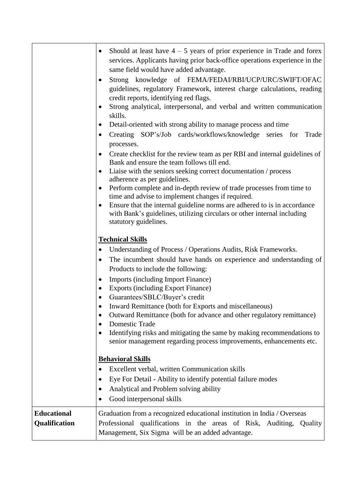|                                     | Should at least have $4 - 5$ years of prior experience in Trade and forex<br>services. Applicants having prior back-office operations experience in the<br>same field would have added advantage.<br>Strong knowledge of FEMA/FEDAI/RBI/UCP/URC/SWIFT/OFAC<br>guidelines, regulatory Framework, interest charge calculations, reading<br>credit reports, identifying red flags.<br>Strong analytical, interpersonal, and verbal and written communication<br>skills.<br>Detail-oriented with strong ability to manage process and time<br>Creating SOP's/Job cards/workflows/knowledge series for<br>Trade<br>٠<br>processes.<br>Create checklist for the review team as per RBI and internal guidelines of<br>Bank and ensure the team follows till end.<br>Liaise with the seniors seeking correct documentation / process<br>adherence as per guidelines.<br>Perform complete and in-depth review of trade processes from time to<br>time and advise to implement changes if required.<br>Ensure that the internal guideline norms are adhered to is in accordance<br>with Bank's guidelines, utilizing circulars or other internal including<br>statutory guidelines. |
|-------------------------------------|---------------------------------------------------------------------------------------------------------------------------------------------------------------------------------------------------------------------------------------------------------------------------------------------------------------------------------------------------------------------------------------------------------------------------------------------------------------------------------------------------------------------------------------------------------------------------------------------------------------------------------------------------------------------------------------------------------------------------------------------------------------------------------------------------------------------------------------------------------------------------------------------------------------------------------------------------------------------------------------------------------------------------------------------------------------------------------------------------------------------------------------------------------------------------|
|                                     | <b>Technical Skills</b><br>Understanding of Process / Operations Audits, Risk Frameworks.<br>The incumbent should have hands on experience and understanding of<br>Products to include the following:<br><b>Imports (including Import Finance)</b><br><b>Exports (including Export Finance)</b><br>Guarantees/SBLC/Buyer's credit<br>Inward Remittance (both for Exports and miscellaneous)<br>Outward Remittance (both for advance and other regulatory remittance)<br><b>Domestic Trade</b><br>Identifying risks and mitigating the same by making recommendations to<br>senior management regarding process improvements, enhancements etc.<br><b>Behavioral Skills</b><br>Excellent verbal, written Communication skills<br>$\bullet$<br>Eye For Detail - Ability to identify potential failure modes<br>Analytical and Problem solving ability<br>Good interpersonal skills                                                                                                                                                                                                                                                                                          |
| <b>Educational</b><br>Qualification | Graduation from a recognized educational institution in India / Overseas<br>Professional qualifications in the areas of Risk, Auditing, Quality<br>Management, Six Sigma will be an added advantage.                                                                                                                                                                                                                                                                                                                                                                                                                                                                                                                                                                                                                                                                                                                                                                                                                                                                                                                                                                      |